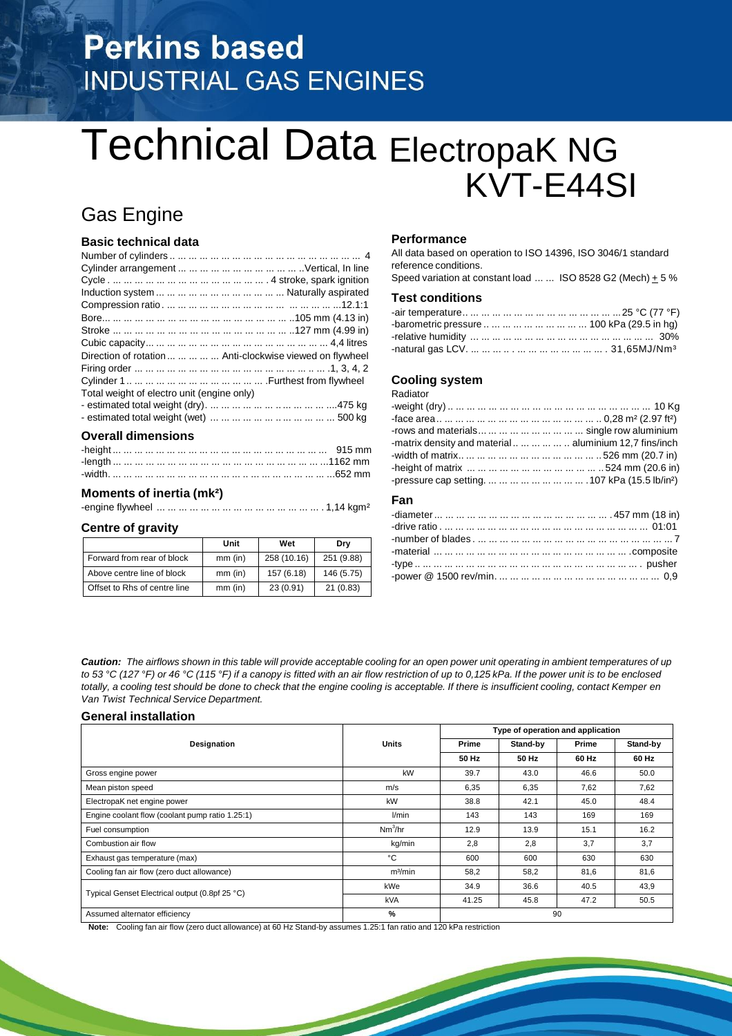# **Perkins based INDUSTRIAL GAS ENGINES**

# Technical Data ElectropaK NG KVT-E44SI

# Gas Engine

## **Basic technical data**

| Direction of rotation      Anti-clockwise viewed on flywheel |
|--------------------------------------------------------------|
|                                                              |
|                                                              |
| Total weight of electro unit (engine only)                   |
|                                                              |
|                                                              |
|                                                              |

### **Overall dimensions**

### **Moments of inertia (mk²)**

-engine flywheel ... ... ... ... ... ... ... ... ... ... ... ... ... ... ... . 1,14 kgm²

#### **Centre of gravity**

|                              | Unit      | Wet         | Dry        |
|------------------------------|-----------|-------------|------------|
| Forward from rear of block   | $mm$ (in) | 258 (10.16) | 251 (9.88) |
| Above centre line of block   | $mm$ (in) | 157 (6.18)  | 146 (5.75) |
| Offset to Rhs of centre line | $mm$ (in) | 23(0.91)    | 21(0.83)   |

### **Performance**

All data based on operation to ISO 14396, ISO 3046/1 standard reference conditions.

Speed variation at constant load ... ... ISO 8528 G2 (Mech)  $\pm$  5 %

# **Test conditions**

| -barometric pressure          100 kPa (29.5 in hg) |  |
|----------------------------------------------------|--|
|                                                    |  |
|                                                    |  |

### **Cooling system**

Radiator

| rows and materials         single row aluminium |  |
|-------------------------------------------------|--|
|                                                 |  |
|                                                 |  |
|                                                 |  |
|                                                 |  |

### **Fan**

Caution: The airflows shown in this table will provide acceptable cooling for an open power unit operating in ambient temperatures of up to 53 °C (127 °F) or 46 °C (115 °F) if a canopy is fitted with an air flow restriction of up to 0,125 kPa. If the power unit is to be enclosed totally, a cooling test should be done to check that the engine cooling is acceptable. If there is insufficient cooling, contact Kemper en *Van Twist Technical Service Department.*

#### **General installation**

| Designation                                     |                     |       | Type of operation and application |       |          |
|-------------------------------------------------|---------------------|-------|-----------------------------------|-------|----------|
|                                                 | <b>Units</b>        | Prime | Stand-by                          | Prime | Stand-by |
|                                                 |                     | 50 Hz | 50 Hz                             | 60 Hz | 60 Hz    |
| Gross engine power                              | kW                  | 39.7  | 43.0                              | 46.6  | 50.0     |
| Mean piston speed                               | m/s                 | 6,35  | 6,35                              | 7,62  | 7,62     |
| ElectropaK net engine power                     | kW                  | 38.8  | 42.1                              | 45.0  | 48.4     |
| Engine coolant flow (coolant pump ratio 1.25:1) | l/min               | 143   | 143                               | 169   | 169      |
| Fuel consumption                                | Nm <sup>3</sup> /hr | 12.9  | 13.9                              | 15.1  | 16.2     |
| Combustion air flow                             | kg/min              | 2,8   | 2,8                               | 3.7   | 3,7      |
| Exhaust gas temperature (max)                   | °C                  | 600   | 600                               | 630   | 630      |
| Cooling fan air flow (zero duct allowance)      | m <sup>3</sup> /min | 58,2  | 58,2                              | 81,6  | 81,6     |
| Typical Genset Electrical output (0.8pf 25 °C)  | kWe                 | 34.9  | 36.6                              | 40.5  | 43,9     |
|                                                 | <b>kVA</b>          | 41.25 | 45.8                              | 47.2  | 50.5     |
| Assumed alternator efficiency                   | %                   |       | 90                                |       |          |

**Note:** Cooling fan air flow (zero duct allowance) at 60 Hz Stand-by assumes 1.25:1 fan ratio and 120 kPa restriction